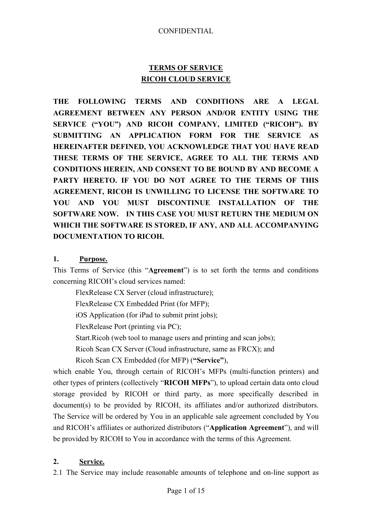# **TERMS OF SERVICE RICOH CLOUD SERVICE**

**THE FOLLOWING TERMS AND CONDITIONS ARE A LEGAL AGREEMENT BETWEEN ANY PERSON AND/OR ENTITY USING THE SERVICE ("YOU") AND RICOH COMPANY, LIMITED ("RICOH"). BY SUBMITTING AN APPLICATION FORM FOR THE SERVICE AS HEREINAFTER DEFINED, YOU ACKNOWLEDGE THAT YOU HAVE READ THESE TERMS OF THE SERVICE, AGREE TO ALL THE TERMS AND CONDITIONS HEREIN, AND CONSENT TO BE BOUND BY AND BECOME A PARTY HERETO. IF YOU DO NOT AGREE TO THE TERMS OF THIS AGREEMENT, RICOH IS UNWILLING TO LICENSE THE SOFTWARE TO YOU AND YOU MUST DISCONTINUE INSTALLATION OF THE SOFTWARE NOW. IN THIS CASE YOU MUST RETURN THE MEDIUM ON WHICH THE SOFTWARE IS STORED, IF ANY, AND ALL ACCOMPANYING DOCUMENTATION TO RICOH.** 

# **1. Purpose.**

This Terms of Service (this "**Agreement**") is to set forth the terms and conditions concerning RICOH's cloud services named:

FlexRelease CX Server (cloud infrastructure); FlexRelease CX Embedded Print (for MFP); iOS Application (for iPad to submit print jobs); FlexRelease Port (printing via PC); Start.Ricoh (web tool to manage users and printing and scan jobs); Ricoh Scan CX Server (Cloud infrastructure, same as FRCX); and Ricoh Scan CX Embedded (for MFP) (**"Service"**),

which enable You, through certain of RICOH's MFPs (multi-function printers) and other types of printers (collectively "**RICOH MFPs**"), to upload certain data onto cloud storage provided by RICOH or third party, as more specifically described in document(s) to be provided by RICOH, its affiliates and/or authorized distributors. The Service will be ordered by You in an applicable sale agreement concluded by You and RICOH's affiliates or authorized distributors ("**Application Agreement**"), and will be provided by RICOH to You in accordance with the terms of this Agreement.

### **2. Service.**

2.1 The Service may include reasonable amounts of telephone and on-line support as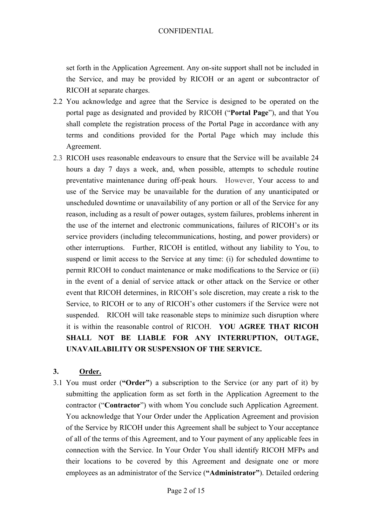set forth in the Application Agreement. Any on-site support shall not be included in the Service, and may be provided by RICOH or an agent or subcontractor of RICOH at separate charges.

- 2.2 You acknowledge and agree that the Service is designed to be operated on the portal page as designated and provided by RICOH ("**Portal Page**"), and that You shall complete the registration process of the Portal Page in accordance with any terms and conditions provided for the Portal Page which may include this Agreement.
- 2.3 RICOH uses reasonable endeavours to ensure that the Service will be available 24 hours a day 7 days a week, and, when possible, attempts to schedule routine preventative maintenance during off-peak hours. However, Your access to and use of the Service may be unavailable for the duration of any unanticipated or unscheduled downtime or unavailability of any portion or all of the Service for any reason, including as a result of power outages, system failures, problems inherent in the use of the internet and electronic communications, failures of RICOH's or its service providers (including telecommunications, hosting, and power providers) or other interruptions. Further, RICOH is entitled, without any liability to You, to suspend or limit access to the Service at any time: (i) for scheduled downtime to permit RICOH to conduct maintenance or make modifications to the Service or (ii) in the event of a denial of service attack or other attack on the Service or other event that RICOH determines, in RICOH's sole discretion, may create a risk to the Service, to RICOH or to any of RICOH's other customers if the Service were not suspended. RICOH will take reasonable steps to minimize such disruption where it is within the reasonable control of RICOH. **YOU AGREE THAT RICOH SHALL NOT BE LIABLE FOR ANY INTERRUPTION, OUTAGE, UNAVAILABILITY OR SUSPENSION OF THE SERVICE.**

### **3. Order.**

3.1 You must order (**"Order"**) a subscription to the Service (or any part of it) by submitting the application form as set forth in the Application Agreement to the contractor ("**Contractor**") with whom You conclude such Application Agreement. You acknowledge that Your Order under the Application Agreement and provision of the Service by RICOH under this Agreement shall be subject to Your acceptance of all of the terms of this Agreement, and to Your payment of any applicable fees in connection with the Service. In Your Order You shall identify RICOH MFPs and their locations to be covered by this Agreement and designate one or more employees as an administrator of the Service (**"Administrator"**). Detailed ordering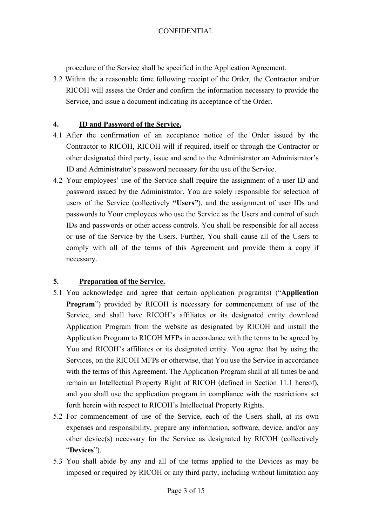procedure of the Service shall be specified in the Application Agreement.

3.2 Within the a reasonable time following receipt of the Order, the Contractor and/or RICOH will assess the Order and confirm the information necessary to provide the Service, and issue a document indicating its acceptance of the Order.

## **4. ID and Password of the Service.**

- 4.1 After the confirmation of an acceptance notice of the Order issued by the Contractor to RICOH, RICOH will if required, itself or through the Contractor or other designated third party, issue and send to the Administrator an Administrator's ID and Administrator's password necessary for the use of the Service.
- 4.2 Your employees' use of the Service shall require the assignment of a user ID and password issued by the Administrator. You are solely responsible for selection of users of the Service (collectively **"Users"**), and the assignment of user IDs and passwords to Your employees who use the Service as the Users and control of such IDs and passwords or other access controls. You shall be responsible for all access or use of the Service by the Users. Further, You shall cause all of the Users to comply with all of the terms of this Agreement and provide them a copy if necessary.

# **5. Preparation of the Service.**

- 5.1 You acknowledge and agree that certain application program(s) ("**Application Program**") provided by RICOH is necessary for commencement of use of the Service, and shall have RICOH's affiliates or its designated entity download Application Program from the website as designated by RICOH and install the Application Program to RICOH MFPs in accordance with the terms to be agreed by You and RICOH's affiliates or its designated entity. You agree that by using the Services, on the RICOH MFPs or otherwise, that You use the Service in accordance with the terms of this Agreement. The Application Program shall at all times be and remain an Intellectual Property Right of RICOH (defined in Section 11.1 hereof), and you shall use the application program in compliance with the restrictions set forth herein with respect to RICOH's Intellectual Property Rights.
- 5.2 For commencement of use of the Service, each of the Users shall, at its own expenses and responsibility, prepare any information, software, device, and/or any other device(s) necessary for the Service as designated by RICOH (collectively "**Devices**").
- 5.3 You shall abide by any and all of the terms applied to the Devices as may be imposed or required by RICOH or any third party, including without limitation any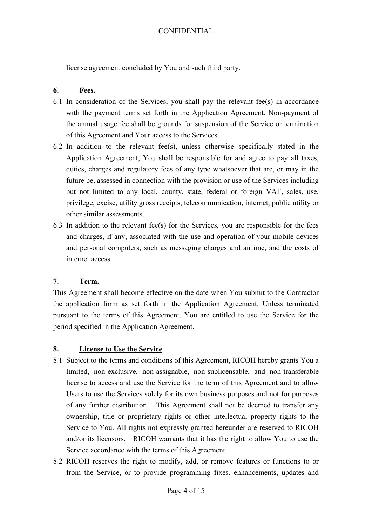license agreement concluded by You and such third party.

### **6. Fees.**

- 6.1 In consideration of the Services, you shall pay the relevant fee(s) in accordance with the payment terms set forth in the Application Agreement. Non-payment of the annual usage fee shall be grounds for suspension of the Service or termination of this Agreement and Your access to the Services.
- 6.2 In addition to the relevant fee(s), unless otherwise specifically stated in the Application Agreement, You shall be responsible for and agree to pay all taxes, duties, charges and regulatory fees of any type whatsoever that are, or may in the future be, assessed in connection with the provision or use of the Services including but not limited to any local, county, state, federal or foreign VAT, sales, use, privilege, excise, utility gross receipts, telecommunication, internet, public utility or other similar assessments.
- 6.3 In addition to the relevant fee(s) for the Services, you are responsible for the fees and charges, if any, associated with the use and operation of your mobile devices and personal computers, such as messaging charges and airtime, and the costs of internet access.

### **7. Term.**

This Agreement shall become effective on the date when You submit to the Contractor the application form as set forth in the Application Agreement. Unless terminated pursuant to the terms of this Agreement, You are entitled to use the Service for the period specified in the Application Agreement.

### **8. License to Use the Service**.

- 8.1 Subject to the terms and conditions of this Agreement, RICOH hereby grants You a limited, non-exclusive, non-assignable, non-sublicensable, and non-transferable license to access and use the Service for the term of this Agreement and to allow Users to use the Services solely for its own business purposes and not for purposes of any further distribution. This Agreement shall not be deemed to transfer any ownership, title or proprietary rights or other intellectual property rights to the Service to You. All rights not expressly granted hereunder are reserved to RICOH and/or its licensors. RICOH warrants that it has the right to allow You to use the Service accordance with the terms of this Agreement.
- 8.2 RICOH reserves the right to modify, add, or remove features or functions to or from the Service, or to provide programming fixes, enhancements, updates and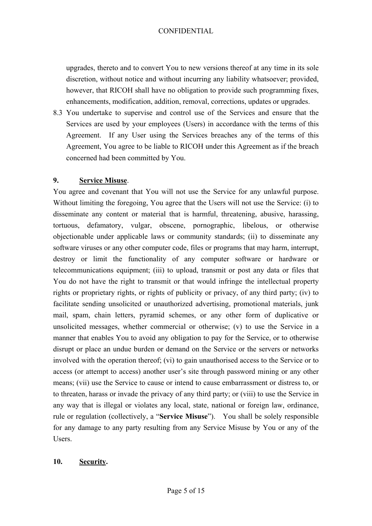upgrades, thereto and to convert You to new versions thereof at any time in its sole discretion, without notice and without incurring any liability whatsoever; provided, however, that RICOH shall have no obligation to provide such programming fixes, enhancements, modification, addition, removal, corrections, updates or upgrades.

8.3 You undertake to supervise and control use of the Services and ensure that the Services are used by your employees (Users) in accordance with the terms of this Agreement. If any User using the Services breaches any of the terms of this Agreement, You agree to be liable to RICOH under this Agreement as if the breach concerned had been committed by You.

# **9. Service Misuse**.

You agree and covenant that You will not use the Service for any unlawful purpose. Without limiting the foregoing, You agree that the Users will not use the Service: (i) to disseminate any content or material that is harmful, threatening, abusive, harassing, tortuous, defamatory, vulgar, obscene, pornographic, libelous, or otherwise objectionable under applicable laws or community standards; (ii) to disseminate any software viruses or any other computer code, files or programs that may harm, interrupt, destroy or limit the functionality of any computer software or hardware or telecommunications equipment; (iii) to upload, transmit or post any data or files that You do not have the right to transmit or that would infringe the intellectual property rights or proprietary rights, or rights of publicity or privacy, of any third party; (iv) to facilitate sending unsolicited or unauthorized advertising, promotional materials, junk mail, spam, chain letters, pyramid schemes, or any other form of duplicative or unsolicited messages, whether commercial or otherwise; (v) to use the Service in a manner that enables You to avoid any obligation to pay for the Service, or to otherwise disrupt or place an undue burden or demand on the Service or the servers or networks involved with the operation thereof; (vi) to gain unauthorised access to the Service or to access (or attempt to access) another user's site through password mining or any other means; (vii) use the Service to cause or intend to cause embarrassment or distress to, or to threaten, harass or invade the privacy of any third party; or (viii) to use the Service in any way that is illegal or violates any local, state, national or foreign law, ordinance, rule or regulation (collectively, a "**Service Misuse**"). You shall be solely responsible for any damage to any party resulting from any Service Misuse by You or any of the Users.

# **10. Security.**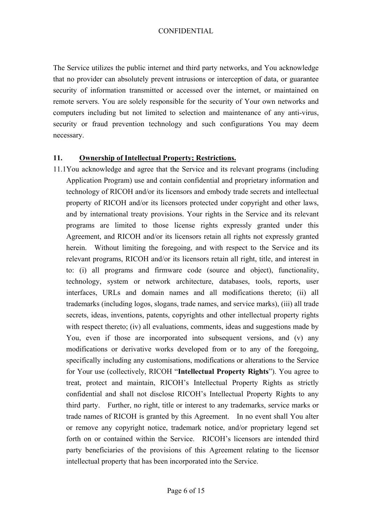The Service utilizes the public internet and third party networks, and You acknowledge that no provider can absolutely prevent intrusions or interception of data, or guarantee security of information transmitted or accessed over the internet, or maintained on remote servers. You are solely responsible for the security of Your own networks and computers including but not limited to selection and maintenance of any anti-virus, security or fraud prevention technology and such configurations You may deem necessary.

## **11. Ownership of Intellectual Property; Restrictions.**

11.1You acknowledge and agree that the Service and its relevant programs (including Application Program) use and contain confidential and proprietary information and technology of RICOH and/or its licensors and embody trade secrets and intellectual property of RICOH and/or its licensors protected under copyright and other laws, and by international treaty provisions. Your rights in the Service and its relevant programs are limited to those license rights expressly granted under this Agreement, and RICOH and/or its licensors retain all rights not expressly granted herein. Without limiting the foregoing, and with respect to the Service and its relevant programs, RICOH and/or its licensors retain all right, title, and interest in to: (i) all programs and firmware code (source and object), functionality, technology, system or network architecture, databases, tools, reports, user interfaces, URLs and domain names and all modifications thereto; (ii) all trademarks (including logos, slogans, trade names, and service marks), (iii) all trade secrets, ideas, inventions, patents, copyrights and other intellectual property rights with respect thereto; (iv) all evaluations, comments, ideas and suggestions made by You, even if those are incorporated into subsequent versions, and (v) any modifications or derivative works developed from or to any of the foregoing, specifically including any customisations, modifications or alterations to the Service for Your use (collectively, RICOH "**Intellectual Property Rights**"). You agree to treat, protect and maintain, RICOH's Intellectual Property Rights as strictly confidential and shall not disclose RICOH's Intellectual Property Rights to any third party. Further, no right, title or interest to any trademarks, service marks or trade names of RICOH is granted by this Agreement. In no event shall You alter or remove any copyright notice, trademark notice, and/or proprietary legend set forth on or contained within the Service. RICOH's licensors are intended third party beneficiaries of the provisions of this Agreement relating to the licensor intellectual property that has been incorporated into the Service.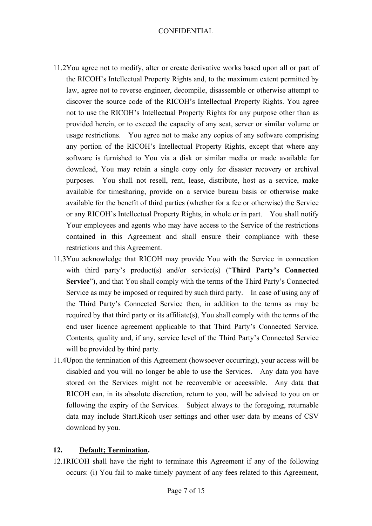- 11.2You agree not to modify, alter or create derivative works based upon all or part of the RICOH's Intellectual Property Rights and, to the maximum extent permitted by law, agree not to reverse engineer, decompile, disassemble or otherwise attempt to discover the source code of the RICOH's Intellectual Property Rights. You agree not to use the RICOH's Intellectual Property Rights for any purpose other than as provided herein, or to exceed the capacity of any seat, server or similar volume or usage restrictions. You agree not to make any copies of any software comprising any portion of the RICOH's Intellectual Property Rights, except that where any software is furnished to You via a disk or similar media or made available for download, You may retain a single copy only for disaster recovery or archival purposes. You shall not resell, rent, lease, distribute, host as a service, make available for timesharing, provide on a service bureau basis or otherwise make available for the benefit of third parties (whether for a fee or otherwise) the Service or any RICOH's Intellectual Property Rights, in whole or in part. You shall notify Your employees and agents who may have access to the Service of the restrictions contained in this Agreement and shall ensure their compliance with these restrictions and this Agreement.
- 11.3You acknowledge that RICOH may provide You with the Service in connection with third party's product(s) and/or service(s) ("Third Party's Connected **Service**"), and that You shall comply with the terms of the Third Party's Connected Service as may be imposed or required by such third party. In case of using any of the Third Party's Connected Service then, in addition to the terms as may be required by that third party or its affiliate(s), You shall comply with the terms of the end user licence agreement applicable to that Third Party's Connected Service. Contents, quality and, if any, service level of the Third Party's Connected Service will be provided by third party.
- 11.4Upon the termination of this Agreement (howsoever occurring), your access will be disabled and you will no longer be able to use the Services. Any data you have stored on the Services might not be recoverable or accessible. Any data that RICOH can, in its absolute discretion, return to you, will be advised to you on or following the expiry of the Services. Subject always to the foregoing, returnable data may include Start.Ricoh user settings and other user data by means of CSV download by you.

# **12. Default; Termination.**

12.1RICOH shall have the right to terminate this Agreement if any of the following occurs: (i) You fail to make timely payment of any fees related to this Agreement,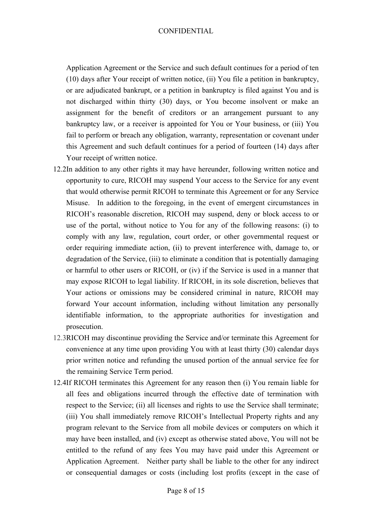Application Agreement or the Service and such default continues for a period of ten (10) days after Your receipt of written notice, (ii) You file a petition in bankruptcy, or are adjudicated bankrupt, or a petition in bankruptcy is filed against You and is not discharged within thirty (30) days, or You become insolvent or make an assignment for the benefit of creditors or an arrangement pursuant to any bankruptcy law, or a receiver is appointed for You or Your business, or (iii) You fail to perform or breach any obligation, warranty, representation or covenant under this Agreement and such default continues for a period of fourteen (14) days after Your receipt of written notice.

- 12.2In addition to any other rights it may have hereunder, following written notice and opportunity to cure, RICOH may suspend Your access to the Service for any event that would otherwise permit RICOH to terminate this Agreement or for any Service Misuse. In addition to the foregoing, in the event of emergent circumstances in RICOH's reasonable discretion, RICOH may suspend, deny or block access to or use of the portal, without notice to You for any of the following reasons: (i) to comply with any law, regulation, court order, or other governmental request or order requiring immediate action, (ii) to prevent interference with, damage to, or degradation of the Service, (iii) to eliminate a condition that is potentially damaging or harmful to other users or RICOH, or (iv) if the Service is used in a manner that may expose RICOH to legal liability. If RICOH, in its sole discretion, believes that Your actions or omissions may be considered criminal in nature, RICOH may forward Your account information, including without limitation any personally identifiable information, to the appropriate authorities for investigation and prosecution.
- 12.3RICOH may discontinue providing the Service and/or terminate this Agreement for convenience at any time upon providing You with at least thirty (30) calendar days prior written notice and refunding the unused portion of the annual service fee for the remaining Service Term period.
- 12.4If RICOH terminates this Agreement for any reason then (i) You remain liable for all fees and obligations incurred through the effective date of termination with respect to the Service; (ii) all licenses and rights to use the Service shall terminate; (iii) You shall immediately remove RICOH's Intellectual Property rights and any program relevant to the Service from all mobile devices or computers on which it may have been installed, and (iv) except as otherwise stated above, You will not be entitled to the refund of any fees You may have paid under this Agreement or Application Agreement. Neither party shall be liable to the other for any indirect or consequential damages or costs (including lost profits (except in the case of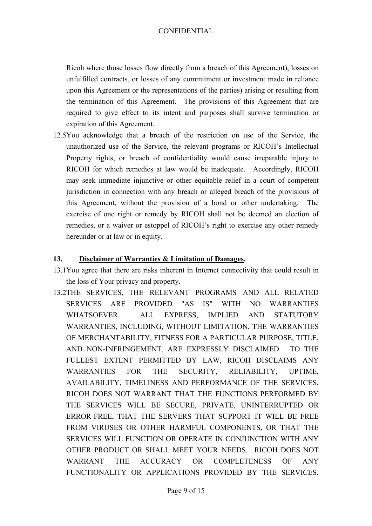Ricoh where those losses flow directly from a breach of this Agreement), losses on unfulfilled contracts, or losses of any commitment or investment made in reliance upon this Agreement or the representations of the parties) arising or resulting from the termination of this Agreement. The provisions of this Agreement that are required to give effect to its intent and purposes shall survive termination or expiration of this Agreement.

12.5You acknowledge that a breach of the restriction on use of the Service, the unauthorized use of the Service, the relevant programs or RICOH's Intellectual Property rights, or breach of confidentiality would cause irreparable injury to RICOH for which remedies at law would be inadequate. Accordingly, RICOH may seek immediate injunctive or other equitable relief in a court of competent jurisdiction in connection with any breach or alleged breach of the provisions of this Agreement, without the provision of a bond or other undertaking. The exercise of one right or remedy by RICOH shall not be deemed an election of remedies, or a waiver or estoppel of RICOH's right to exercise any other remedy hereunder or at law or in equity.

## **13. Disclaimer of Warranties & Limitation of Damages.**

- 13.1You agree that there are risks inherent in Internet connectivity that could result in the loss of Your privacy and property.
- 13.2THE SERVICES, THE RELEVANT PROGRAMS AND ALL RELATED SERVICES ARE PROVIDED "AS IS" WITH NO WARRANTIES WHATSOEVER. ALL EXPRESS, IMPLIED AND STATUTORY WARRANTIES, INCLUDING, WITHOUT LIMITATION, THE WARRANTIES OF MERCHANTABILITY, FITNESS FOR A PARTICULAR PURPOSE, TITLE, AND NON-INFRINGEMENT, ARE EXPRESSLY DISCLAIMED. TO THE FULLEST EXTENT PERMITTED BY LAW, RICOH DISCLAIMS ANY WARRANTIES FOR THE SECURITY, RELIABILITY, UPTIME, AVAILABILITY, TIMELINESS AND PERFORMANCE OF THE SERVICES. RICOH DOES NOT WARRANT THAT THE FUNCTIONS PERFORMED BY THE SERVICES WILL BE SECURE, PRIVATE, UNINTERRUPTED OR ERROR-FREE, THAT THE SERVERS THAT SUPPORT IT WILL BE FREE FROM VIRUSES OR OTHER HARMFUL COMPONENTS, OR THAT THE SERVICES WILL FUNCTION OR OPERATE IN CONJUNCTION WITH ANY OTHER PRODUCT OR SHALL MEET YOUR NEEDS. RICOH DOES NOT WARRANT THE ACCURACY OR COMPLETENESS OF ANY FUNCTIONALITY OR APPLICATIONS PROVIDED BY THE SERVICES.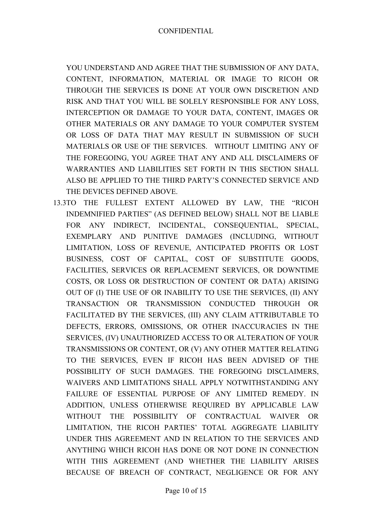YOU UNDERSTAND AND AGREE THAT THE SUBMISSION OF ANY DATA, CONTENT, INFORMATION, MATERIAL OR IMAGE TO RICOH OR THROUGH THE SERVICES IS DONE AT YOUR OWN DISCRETION AND RISK AND THAT YOU WILL BE SOLELY RESPONSIBLE FOR ANY LOSS, INTERCEPTION OR DAMAGE TO YOUR DATA, CONTENT, IMAGES OR OTHER MATERIALS OR ANY DAMAGE TO YOUR COMPUTER SYSTEM OR LOSS OF DATA THAT MAY RESULT IN SUBMISSION OF SUCH MATERIALS OR USE OF THE SERVICES. WITHOUT LIMITING ANY OF THE FOREGOING, YOU AGREE THAT ANY AND ALL DISCLAIMERS OF WARRANTIES AND LIABILITIES SET FORTH IN THIS SECTION SHALL ALSO BE APPLIED TO THE THIRD PARTY'S CONNECTED SERVICE AND THE DEVICES DEFINED ABOVE.

13.3TO THE FULLEST EXTENT ALLOWED BY LAW, THE "RICOH INDEMNIFIED PARTIES" (AS DEFINED BELOW) SHALL NOT BE LIABLE FOR ANY INDIRECT, INCIDENTAL, CONSEQUENTIAL, SPECIAL, EXEMPLARY AND PUNITIVE DAMAGES (INCLUDING, WITHOUT LIMITATION, LOSS OF REVENUE, ANTICIPATED PROFITS OR LOST BUSINESS, COST OF CAPITAL, COST OF SUBSTITUTE GOODS, FACILITIES, SERVICES OR REPLACEMENT SERVICES, OR DOWNTIME COSTS, OR LOSS OR DESTRUCTION OF CONTENT OR DATA) ARISING OUT OF (I) THE USE OF OR INABILITY TO USE THE SERVICES, (II) ANY TRANSACTION OR TRANSMISSION CONDUCTED THROUGH OR FACILITATED BY THE SERVICES, (III) ANY CLAIM ATTRIBUTABLE TO DEFECTS, ERRORS, OMISSIONS, OR OTHER INACCURACIES IN THE SERVICES, (IV) UNAUTHORIZED ACCESS TO OR ALTERATION OF YOUR TRANSMISSIONS OR CONTENT, OR (V) ANY OTHER MATTER RELATING TO THE SERVICES, EVEN IF RICOH HAS BEEN ADVISED OF THE POSSIBILITY OF SUCH DAMAGES. THE FOREGOING DISCLAIMERS, WAIVERS AND LIMITATIONS SHALL APPLY NOTWITHSTANDING ANY FAILURE OF ESSENTIAL PURPOSE OF ANY LIMITED REMEDY. IN ADDITION, UNLESS OTHERWISE REQUIRED BY APPLICABLE LAW WITHOUT THE POSSIBILITY OF CONTRACTUAL WAIVER OR LIMITATION, THE RICOH PARTIES' TOTAL AGGREGATE LIABILITY UNDER THIS AGREEMENT AND IN RELATION TO THE SERVICES AND ANYTHING WHICH RICOH HAS DONE OR NOT DONE IN CONNECTION WITH THIS AGREEMENT (AND WHETHER THE LIABILITY ARISES BECAUSE OF BREACH OF CONTRACT, NEGLIGENCE OR FOR ANY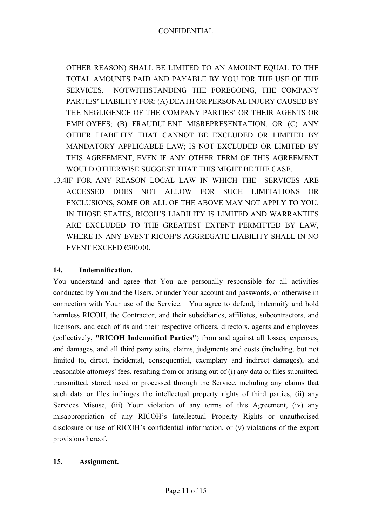OTHER REASON) SHALL BE LIMITED TO AN AMOUNT EQUAL TO THE TOTAL AMOUNTS PAID AND PAYABLE BY YOU FOR THE USE OF THE SERVICES. NOTWITHSTANDING THE FOREGOING, THE COMPANY PARTIES' LIABILITY FOR: (A) DEATH OR PERSONAL INJURY CAUSED BY THE NEGLIGENCE OF THE COMPANY PARTIES' OR THEIR AGENTS OR EMPLOYEES; (B) FRAUDULENT MISREPRESENTATION, OR (C) ANY OTHER LIABILITY THAT CANNOT BE EXCLUDED OR LIMITED BY MANDATORY APPLICABLE LAW; IS NOT EXCLUDED OR LIMITED BY THIS AGREEMENT, EVEN IF ANY OTHER TERM OF THIS AGREEMENT WOULD OTHERWISE SUGGEST THAT THIS MIGHT BE THE CASE.

13.4IF FOR ANY REASON LOCAL LAW IN WHICH THE SERVICES ARE ACCESSED DOES NOT ALLOW FOR SUCH LIMITATIONS OR EXCLUSIONS, SOME OR ALL OF THE ABOVE MAY NOT APPLY TO YOU. IN THOSE STATES, RICOH'S LIABILITY IS LIMITED AND WARRANTIES ARE EXCLUDED TO THE GREATEST EXTENT PERMITTED BY LAW, WHERE IN ANY EVENT RICOH'S AGGREGATE LIABILITY SHALL IN NO EVENT EXCEED  $\epsilon$ 500.00

# **14. Indemnification.**

You understand and agree that You are personally responsible for all activities conducted by You and the Users, or under Your account and passwords, or otherwise in connection with Your use of the Service. You agree to defend, indemnify and hold harmless RICOH, the Contractor, and their subsidiaries, affiliates, subcontractors, and licensors, and each of its and their respective officers, directors, agents and employees (collectively, **"RICOH Indemnified Parties"**) from and against all losses, expenses, and damages, and all third party suits, claims, judgments and costs (including, but not limited to, direct, incidental, consequential, exemplary and indirect damages), and reasonable attorneys' fees, resulting from or arising out of (i) any data or files submitted, transmitted, stored, used or processed through the Service, including any claims that such data or files infringes the intellectual property rights of third parties, (ii) any Services Misuse, (iii) Your violation of any terms of this Agreement, (iv) any misappropriation of any RICOH's Intellectual Property Rights or unauthorised disclosure or use of RICOH's confidential information, or (v) violations of the export provisions hereof.

# **15. Assignment.**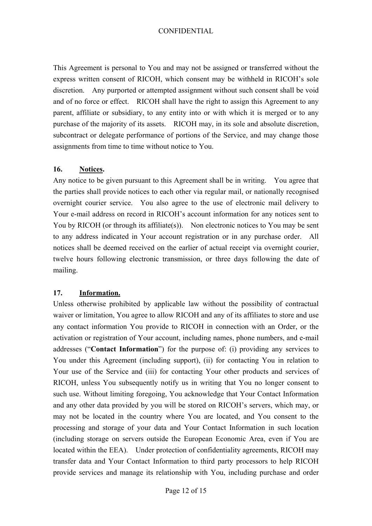This Agreement is personal to You and may not be assigned or transferred without the express written consent of RICOH, which consent may be withheld in RICOH's sole discretion. Any purported or attempted assignment without such consent shall be void and of no force or effect. RICOH shall have the right to assign this Agreement to any parent, affiliate or subsidiary, to any entity into or with which it is merged or to any purchase of the majority of its assets. RICOH may, in its sole and absolute discretion, subcontract or delegate performance of portions of the Service, and may change those assignments from time to time without notice to You.

## **16. Notices.**

Any notice to be given pursuant to this Agreement shall be in writing. You agree that the parties shall provide notices to each other via regular mail, or nationally recognised overnight courier service. You also agree to the use of electronic mail delivery to Your e-mail address on record in RICOH's account information for any notices sent to You by RICOH (or through its affiliate(s)). Non electronic notices to You may be sent to any address indicated in Your account registration or in any purchase order. All notices shall be deemed received on the earlier of actual receipt via overnight courier, twelve hours following electronic transmission, or three days following the date of mailing.

### **17. Information.**

Unless otherwise prohibited by applicable law without the possibility of contractual waiver or limitation, You agree to allow RICOH and any of its affiliates to store and use any contact information You provide to RICOH in connection with an Order, or the activation or registration of Your account, including names, phone numbers, and e-mail addresses ("**Contact Information**") for the purpose of: (i) providing any services to You under this Agreement (including support), (ii) for contacting You in relation to Your use of the Service and (iii) for contacting Your other products and services of RICOH, unless You subsequently notify us in writing that You no longer consent to such use. Without limiting foregoing, You acknowledge that Your Contact Information and any other data provided by you will be stored on RICOH's servers, which may, or may not be located in the country where You are located, and You consent to the processing and storage of your data and Your Contact Information in such location (including storage on servers outside the European Economic Area, even if You are located within the EEA). Under protection of confidentiality agreements, RICOH may transfer data and Your Contact Information to third party processors to help RICOH provide services and manage its relationship with You, including purchase and order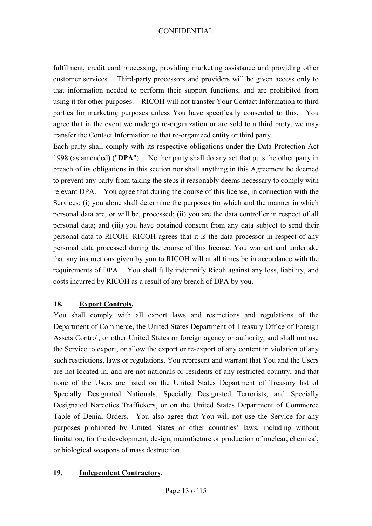fulfilment, credit card processing, providing marketing assistance and providing other customer services. Third-party processors and providers will be given access only to that information needed to perform their support functions, and are prohibited from using it for other purposes. RICOH will not transfer Your Contact Information to third parties for marketing purposes unless You have specifically consented to this. You agree that in the event we undergo re-organization or are sold to a third party, we may transfer the Contact Information to that re-organized entity or third party.

Each party shall comply with its respective obligations under the Data Protection Act 1998 (as amended) ("**DPA**"). Neither party shall do any act that puts the other party in breach of its obligations in this section nor shall anything in this Agreement be deemed to prevent any party from taking the steps it reasonably deems necessary to comply with relevant DPA. You agree that during the course of this license, in connection with the Services: (i) you alone shall determine the purposes for which and the manner in which personal data are, or will be, processed; (ii) you are the data controller in respect of all personal data; and (iii) you have obtained consent from any data subject to send their personal data to RICOH. RICOH agrees that it is the data processor in respect of any personal data processed during the course of this license. You warrant and undertake that any instructions given by you to RICOH will at all times be in accordance with the requirements of DPA. You shall fully indemnify Ricoh against any loss, liability, and costs incurred by RICOH as a result of any breach of DPA by you.

# **18. Export Controls.**

You shall comply with all export laws and restrictions and regulations of the Department of Commerce, the United States Department of Treasury Office of Foreign Assets Control, or other United States or foreign agency or authority, and shall not use the Service to export, or allow the export or re-export of any content in violation of any such restrictions, laws or regulations. You represent and warrant that You and the Users are not located in, and are not nationals or residents of any restricted country, and that none of the Users are listed on the United States Department of Treasury list of Specially Designated Nationals, Specially Designated Terrorists, and Specially Designated Narcotics Traffickers, or on the United States Department of Commerce Table of Denial Orders. You also agree that You will not use the Service for any purposes prohibited by United States or other countries' laws, including without limitation, for the development, design, manufacture or production of nuclear, chemical, or biological weapons of mass destruction.

# **19. Independent Contractors.**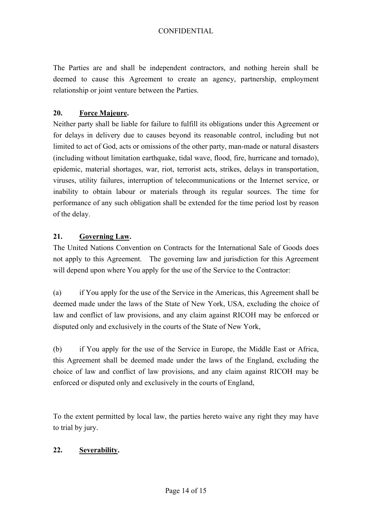The Parties are and shall be independent contractors, and nothing herein shall be deemed to cause this Agreement to create an agency, partnership, employment relationship or joint venture between the Parties.

# **20. Force Majeure.**

Neither party shall be liable for failure to fulfill its obligations under this Agreement or for delays in delivery due to causes beyond its reasonable control, including but not limited to act of God, acts or omissions of the other party, man-made or natural disasters (including without limitation earthquake, tidal wave, flood, fire, hurricane and tornado), epidemic, material shortages, war, riot, terrorist acts, strikes, delays in transportation, viruses, utility failures, interruption of telecommunications or the Internet service, or inability to obtain labour or materials through its regular sources. The time for performance of any such obligation shall be extended for the time period lost by reason of the delay.

# **21. Governing Law.**

The United Nations Convention on Contracts for the International Sale of Goods does not apply to this Agreement. The governing law and jurisdiction for this Agreement will depend upon where You apply for the use of the Service to the Contractor:

(a) if You apply for the use of the Service in the Americas, this Agreement shall be deemed made under the laws of the State of New York, USA, excluding the choice of law and conflict of law provisions, and any claim against RICOH may be enforced or disputed only and exclusively in the courts of the State of New York,

(b) if You apply for the use of the Service in Europe, the Middle East or Africa, this Agreement shall be deemed made under the laws of the England, excluding the choice of law and conflict of law provisions, and any claim against RICOH may be enforced or disputed only and exclusively in the courts of England,

To the extent permitted by local law, the parties hereto waive any right they may have to trial by jury.

# **22. Severability.**